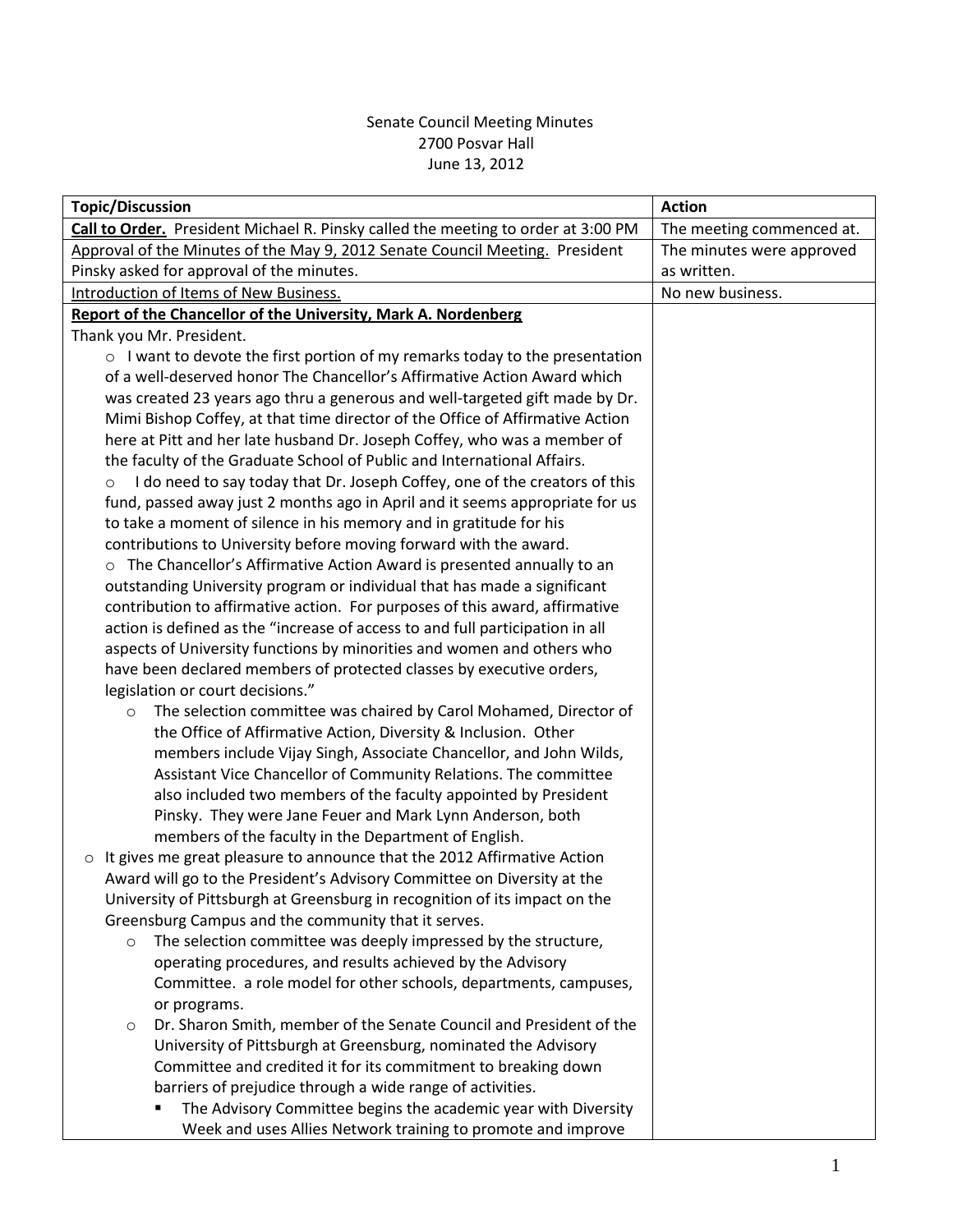### Senate Council Meeting Minutes 2700 Posvar Hall June 13, 2012

| Call to Order. President Michael R. Pinsky called the meeting to order at 3:00 PM<br>The meeting commenced at.<br>Approval of the Minutes of the May 9, 2012 Senate Council Meeting. President<br>The minutes were approved<br>Pinsky asked for approval of the minutes.<br>as written.<br>No new business.<br>Introduction of Items of New Business.<br>Report of the Chancellor of the University, Mark A. Nordenberg<br>Thank you Mr. President.<br>$\circ$ I want to devote the first portion of my remarks today to the presentation<br>of a well-deserved honor The Chancellor's Affirmative Action Award which |
|-----------------------------------------------------------------------------------------------------------------------------------------------------------------------------------------------------------------------------------------------------------------------------------------------------------------------------------------------------------------------------------------------------------------------------------------------------------------------------------------------------------------------------------------------------------------------------------------------------------------------|
|                                                                                                                                                                                                                                                                                                                                                                                                                                                                                                                                                                                                                       |
|                                                                                                                                                                                                                                                                                                                                                                                                                                                                                                                                                                                                                       |
|                                                                                                                                                                                                                                                                                                                                                                                                                                                                                                                                                                                                                       |
|                                                                                                                                                                                                                                                                                                                                                                                                                                                                                                                                                                                                                       |
|                                                                                                                                                                                                                                                                                                                                                                                                                                                                                                                                                                                                                       |
|                                                                                                                                                                                                                                                                                                                                                                                                                                                                                                                                                                                                                       |
|                                                                                                                                                                                                                                                                                                                                                                                                                                                                                                                                                                                                                       |
|                                                                                                                                                                                                                                                                                                                                                                                                                                                                                                                                                                                                                       |
| was created 23 years ago thru a generous and well-targeted gift made by Dr.                                                                                                                                                                                                                                                                                                                                                                                                                                                                                                                                           |
| Mimi Bishop Coffey, at that time director of the Office of Affirmative Action                                                                                                                                                                                                                                                                                                                                                                                                                                                                                                                                         |
| here at Pitt and her late husband Dr. Joseph Coffey, who was a member of                                                                                                                                                                                                                                                                                                                                                                                                                                                                                                                                              |
| the faculty of the Graduate School of Public and International Affairs.                                                                                                                                                                                                                                                                                                                                                                                                                                                                                                                                               |
| I do need to say today that Dr. Joseph Coffey, one of the creators of this<br>$\circ$                                                                                                                                                                                                                                                                                                                                                                                                                                                                                                                                 |
| fund, passed away just 2 months ago in April and it seems appropriate for us                                                                                                                                                                                                                                                                                                                                                                                                                                                                                                                                          |
| to take a moment of silence in his memory and in gratitude for his                                                                                                                                                                                                                                                                                                                                                                                                                                                                                                                                                    |
| contributions to University before moving forward with the award.                                                                                                                                                                                                                                                                                                                                                                                                                                                                                                                                                     |
| o The Chancellor's Affirmative Action Award is presented annually to an                                                                                                                                                                                                                                                                                                                                                                                                                                                                                                                                               |
| outstanding University program or individual that has made a significant                                                                                                                                                                                                                                                                                                                                                                                                                                                                                                                                              |
| contribution to affirmative action. For purposes of this award, affirmative                                                                                                                                                                                                                                                                                                                                                                                                                                                                                                                                           |
| action is defined as the "increase of access to and full participation in all                                                                                                                                                                                                                                                                                                                                                                                                                                                                                                                                         |
| aspects of University functions by minorities and women and others who                                                                                                                                                                                                                                                                                                                                                                                                                                                                                                                                                |
| have been declared members of protected classes by executive orders,                                                                                                                                                                                                                                                                                                                                                                                                                                                                                                                                                  |
| legislation or court decisions."                                                                                                                                                                                                                                                                                                                                                                                                                                                                                                                                                                                      |
| The selection committee was chaired by Carol Mohamed, Director of<br>$\circ$                                                                                                                                                                                                                                                                                                                                                                                                                                                                                                                                          |
| the Office of Affirmative Action, Diversity & Inclusion. Other                                                                                                                                                                                                                                                                                                                                                                                                                                                                                                                                                        |
| members include Vijay Singh, Associate Chancellor, and John Wilds,                                                                                                                                                                                                                                                                                                                                                                                                                                                                                                                                                    |
| Assistant Vice Chancellor of Community Relations. The committee                                                                                                                                                                                                                                                                                                                                                                                                                                                                                                                                                       |
| also included two members of the faculty appointed by President                                                                                                                                                                                                                                                                                                                                                                                                                                                                                                                                                       |
| Pinsky. They were Jane Feuer and Mark Lynn Anderson, both                                                                                                                                                                                                                                                                                                                                                                                                                                                                                                                                                             |
| members of the faculty in the Department of English.                                                                                                                                                                                                                                                                                                                                                                                                                                                                                                                                                                  |
| It gives me great pleasure to announce that the 2012 Affirmative Action<br>$\circ$                                                                                                                                                                                                                                                                                                                                                                                                                                                                                                                                    |
| Award will go to the President's Advisory Committee on Diversity at the                                                                                                                                                                                                                                                                                                                                                                                                                                                                                                                                               |
| University of Pittsburgh at Greensburg in recognition of its impact on the                                                                                                                                                                                                                                                                                                                                                                                                                                                                                                                                            |
| Greensburg Campus and the community that it serves.                                                                                                                                                                                                                                                                                                                                                                                                                                                                                                                                                                   |
| The selection committee was deeply impressed by the structure,<br>$\circ$                                                                                                                                                                                                                                                                                                                                                                                                                                                                                                                                             |
| operating procedures, and results achieved by the Advisory                                                                                                                                                                                                                                                                                                                                                                                                                                                                                                                                                            |
| Committee. a role model for other schools, departments, campuses,                                                                                                                                                                                                                                                                                                                                                                                                                                                                                                                                                     |
| or programs.<br>Dr. Sharon Smith, member of the Senate Council and President of the                                                                                                                                                                                                                                                                                                                                                                                                                                                                                                                                   |
| $\circ$<br>University of Pittsburgh at Greensburg, nominated the Advisory                                                                                                                                                                                                                                                                                                                                                                                                                                                                                                                                             |
| Committee and credited it for its commitment to breaking down                                                                                                                                                                                                                                                                                                                                                                                                                                                                                                                                                         |
| barriers of prejudice through a wide range of activities.                                                                                                                                                                                                                                                                                                                                                                                                                                                                                                                                                             |
| The Advisory Committee begins the academic year with Diversity                                                                                                                                                                                                                                                                                                                                                                                                                                                                                                                                                        |
| Week and uses Allies Network training to promote and improve                                                                                                                                                                                                                                                                                                                                                                                                                                                                                                                                                          |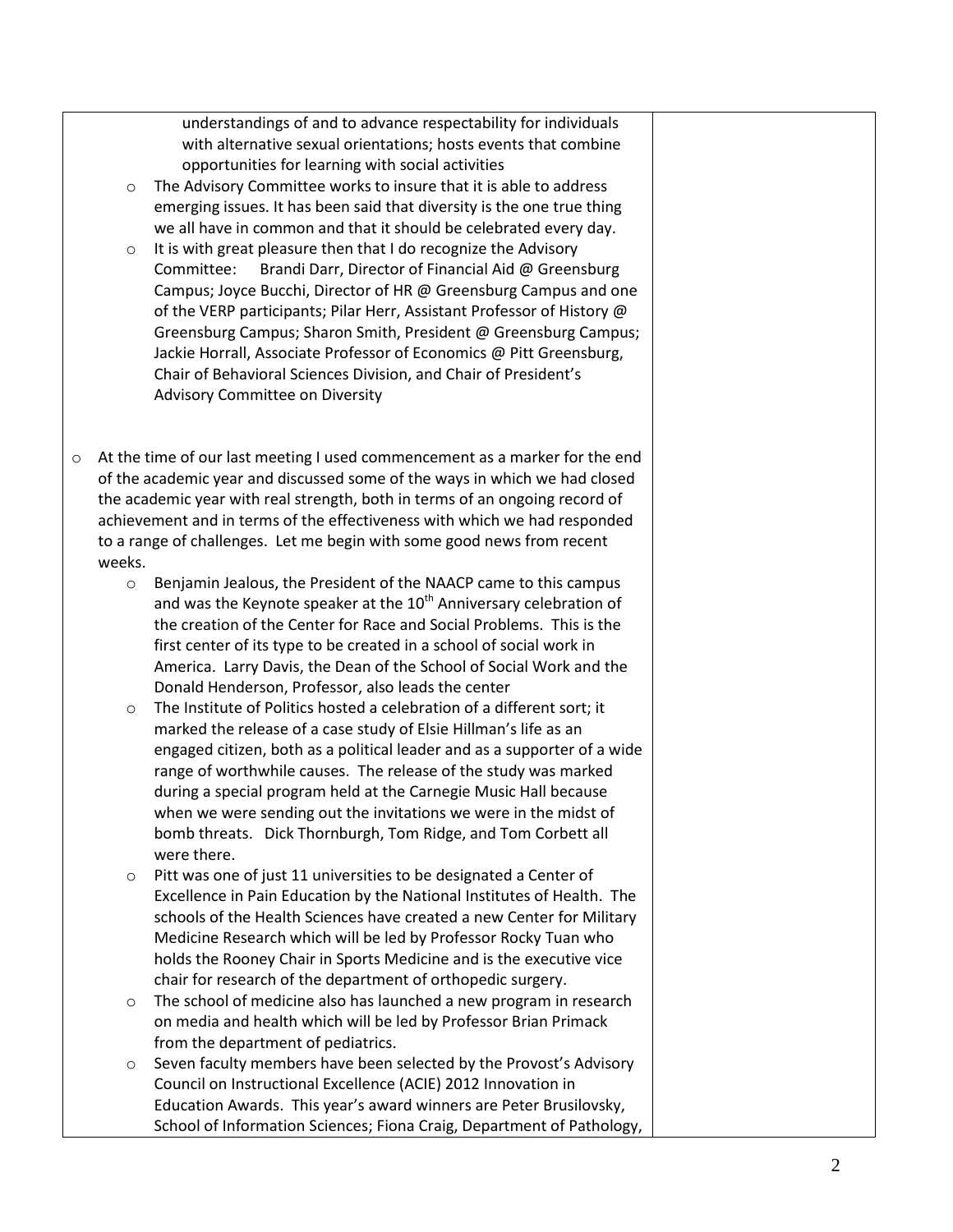understandings of and to advance respectability for individuals with alternative sexual orientations; hosts events that combine opportunities for learning with social activities

- o The Advisory Committee works to insure that it is able to address emerging issues. It has been said that diversity is the one true thing we all have in common and that it should be celebrated every day.
- o It is with great pleasure then that I do recognize the Advisory Committee: Brandi Darr, Director of Financial Aid @ Greensburg Campus; Joyce Bucchi, Director of HR @ Greensburg Campus and one of the VERP participants; Pilar Herr, Assistant Professor of History @ Greensburg Campus; Sharon Smith, President @ Greensburg Campus; Jackie Horrall, Associate Professor of Economics @ Pitt Greensburg, Chair of Behavioral Sciences Division, and Chair of President's Advisory Committee on Diversity
- o At the time of our last meeting I used commencement as a marker for the end of the academic year and discussed some of the ways in which we had closed the academic year with real strength, both in terms of an ongoing record of achievement and in terms of the effectiveness with which we had responded to a range of challenges. Let me begin with some good news from recent weeks.
	- o Benjamin Jealous, the President of the NAACP came to this campus and was the Keynote speaker at the  $10<sup>th</sup>$  Anniversary celebration of the creation of the Center for Race and Social Problems. This is the first center of its type to be created in a school of social work in America. Larry Davis, the Dean of the School of Social Work and the Donald Henderson, Professor, also leads the center
	- o The Institute of Politics hosted a celebration of a different sort; it marked the release of a case study of Elsie Hillman's life as an engaged citizen, both as a political leader and as a supporter of a wide range of worthwhile causes. The release of the study was marked during a special program held at the Carnegie Music Hall because when we were sending out the invitations we were in the midst of bomb threats. Dick Thornburgh, Tom Ridge, and Tom Corbett all were there.
	- o Pitt was one of just 11 universities to be designated a Center of Excellence in Pain Education by the National Institutes of Health. The schools of the Health Sciences have created a new Center for Military Medicine Research which will be led by Professor Rocky Tuan who holds the Rooney Chair in Sports Medicine and is the executive vice chair for research of the department of orthopedic surgery.
	- The school of medicine also has launched a new program in research on media and health which will be led by Professor Brian Primack from the department of pediatrics.
	- Seven faculty members have been selected by the Provost's Advisory Council on Instructional Excellence (ACIE) 2012 Innovation in Education Awards. This year's award winners are Peter Brusilovsky, School of Information Sciences; Fiona Craig, Department of Pathology,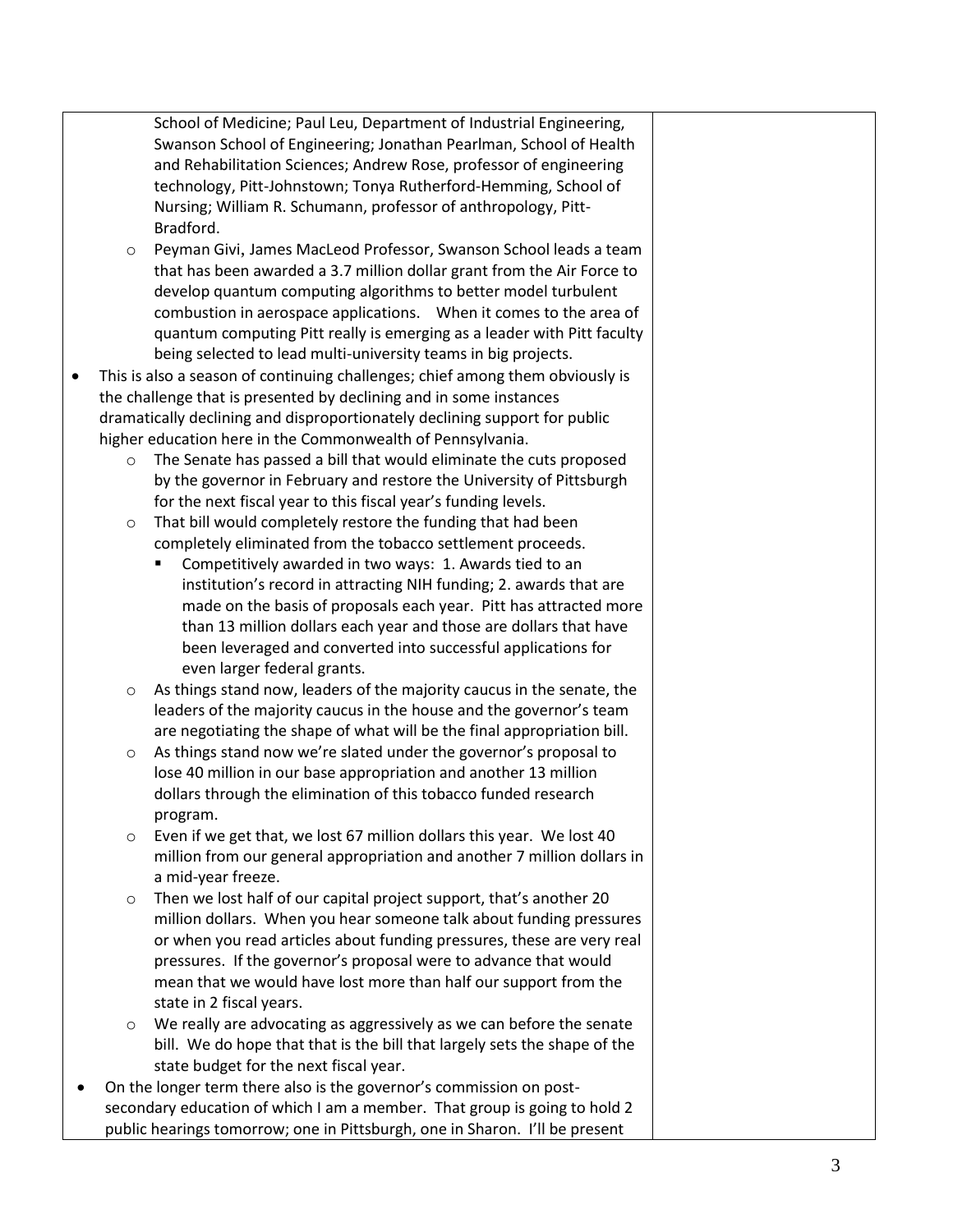School of Medicine; Paul Leu, Department of Industrial Engineering, Swanson School of Engineering; Jonathan Pearlman, School of Health and Rehabilitation Sciences; Andrew Rose, professor of engineering technology, Pitt-Johnstown; Tonya Rutherford-Hemming, School of Nursing; William R. Schumann, professor of anthropology, Pitt-Bradford.

- o [Peyman Givi](http://www.engineering.pitt.edu/ProfessionalProfile.aspx?id=2147485505), James MacLeod Professor, Swanson School leads a team that has been awarded a 3.7 million dollar grant from the Air Force to develop quantum computing algorithms to better model turbulent combustion in aerospace applications. When it comes to the area of quantum computing Pitt really is emerging as a leader with Pitt faculty being selected to lead multi-university teams in big projects.
- This is also a season of continuing challenges; chief among them obviously is the challenge that is presented by declining and in some instances dramatically declining and disproportionately declining support for public higher education here in the Commonwealth of Pennsylvania.
	- o The Senate has passed a bill that would eliminate the cuts proposed by the governor in February and restore the University of Pittsburgh for the next fiscal year to this fiscal year's funding levels.
	- o That bill would completely restore the funding that had been completely eliminated from the tobacco settlement proceeds.
		- **Competitively awarded in two ways: 1. Awards tied to an** institution's record in attracting NIH funding; 2. awards that are made on the basis of proposals each year. Pitt has attracted more than 13 million dollars each year and those are dollars that have been leveraged and converted into successful applications for even larger federal grants.
	- $\circ$  As things stand now, leaders of the majority caucus in the senate, the leaders of the majority caucus in the house and the governor's team are negotiating the shape of what will be the final appropriation bill.
	- o As things stand now we're slated under the governor's proposal to lose 40 million in our base appropriation and another 13 million dollars through the elimination of this tobacco funded research program.
	- o Even if we get that, we lost 67 million dollars this year. We lost 40 million from our general appropriation and another 7 million dollars in a mid-year freeze.
	- Then we lost half of our capital project support, that's another 20 million dollars. When you hear someone talk about funding pressures or when you read articles about funding pressures, these are very real pressures. If the governor's proposal were to advance that would mean that we would have lost more than half our support from the state in 2 fiscal years.
	- o We really are advocating as aggressively as we can before the senate bill. We do hope that that is the bill that largely sets the shape of the state budget for the next fiscal year.
- On the longer term there also is the governor's commission on postsecondary education of which I am a member. That group is going to hold 2 public hearings tomorrow; one in Pittsburgh, one in Sharon. I'll be present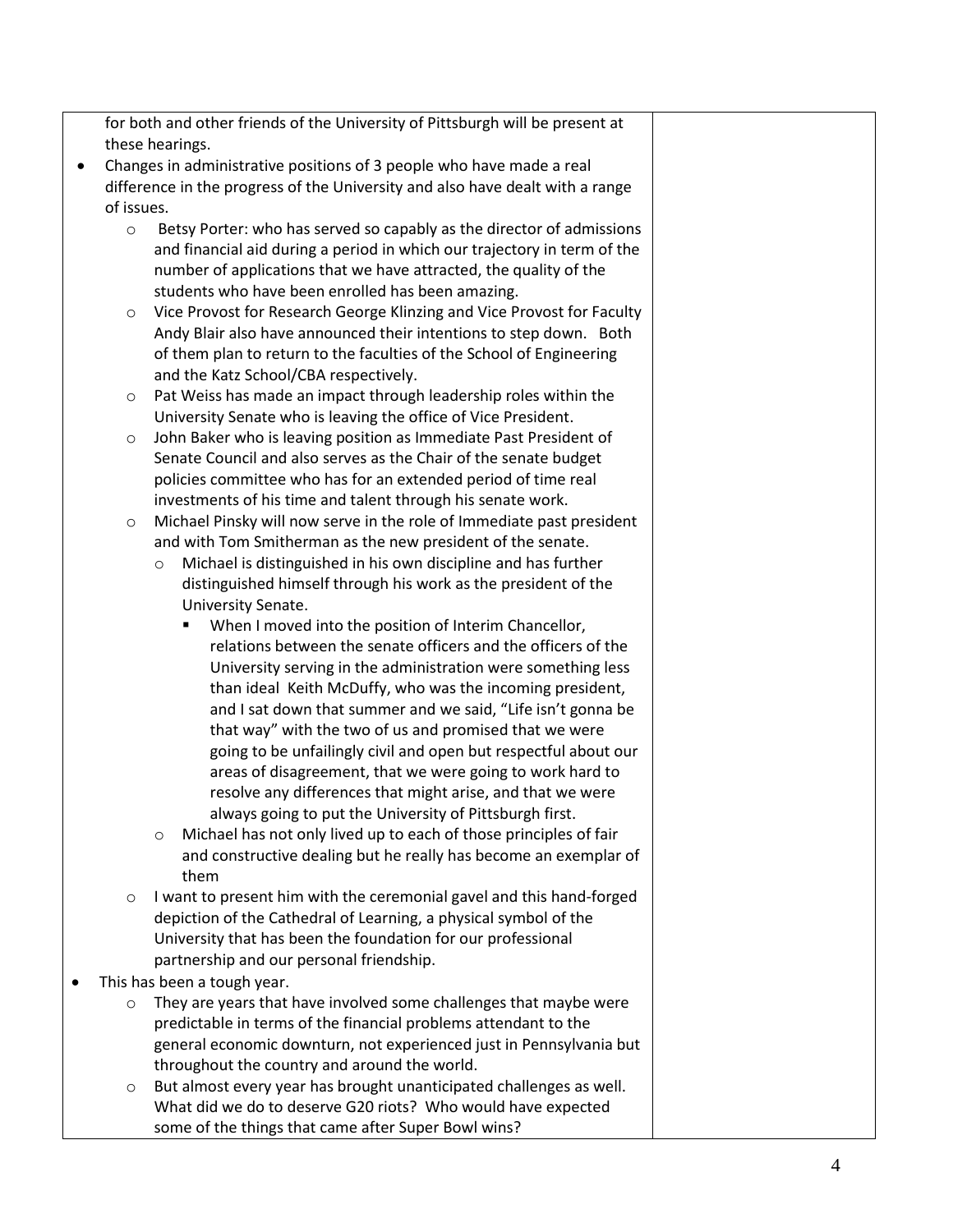for both and other friends of the University of Pittsburgh will be present at these hearings.

- Changes in administrative positions of 3 people who have made a real difference in the progress of the University and also have dealt with a range of issues.
	- o Betsy Porter: who has served so capably as the director of admissions and financial aid during a period in which our trajectory in term of the number of applications that we have attracted, the quality of the students who have been enrolled has been amazing.
	- o Vice Provost for Research George Klinzing and Vice Provost for Faculty Andy Blair also have announced their intentions to step down. Both of them plan to return to the faculties of the School of Engineering and the Katz School/CBA respectively.
	- o Pat Weiss has made an impact through leadership roles within the University Senate who is leaving the office of Vice President.
	- o John Baker who is leaving position as Immediate Past President of Senate Council and also serves as the Chair of the senate budget policies committee who has for an extended period of time real investments of his time and talent through his senate work.
	- Michael Pinsky will now serve in the role of Immediate past president and with Tom Smitherman as the new president of the senate.
		- o Michael is distinguished in his own discipline and has further distinguished himself through his work as the president of the University Senate.
			- When I moved into the position of Interim Chancellor, relations between the senate officers and the officers of the University serving in the administration were something less than ideal Keith McDuffy, who was the incoming president, and I sat down that summer and we said, "Life isn't gonna be that way" with the two of us and promised that we were going to be unfailingly civil and open but respectful about our areas of disagreement, that we were going to work hard to resolve any differences that might arise, and that we were always going to put the University of Pittsburgh first.
		- o Michael has not only lived up to each of those principles of fair and constructive dealing but he really has become an exemplar of them
	- I want to present him with the ceremonial gavel and this hand-forged depiction of the Cathedral of Learning, a physical symbol of the University that has been the foundation for our professional partnership and our personal friendship.
- This has been a tough year.
	- o They are years that have involved some challenges that maybe were predictable in terms of the financial problems attendant to the general economic downturn, not experienced just in Pennsylvania but throughout the country and around the world.
	- But almost every year has brought unanticipated challenges as well. What did we do to deserve G20 riots? Who would have expected some of the things that came after Super Bowl wins?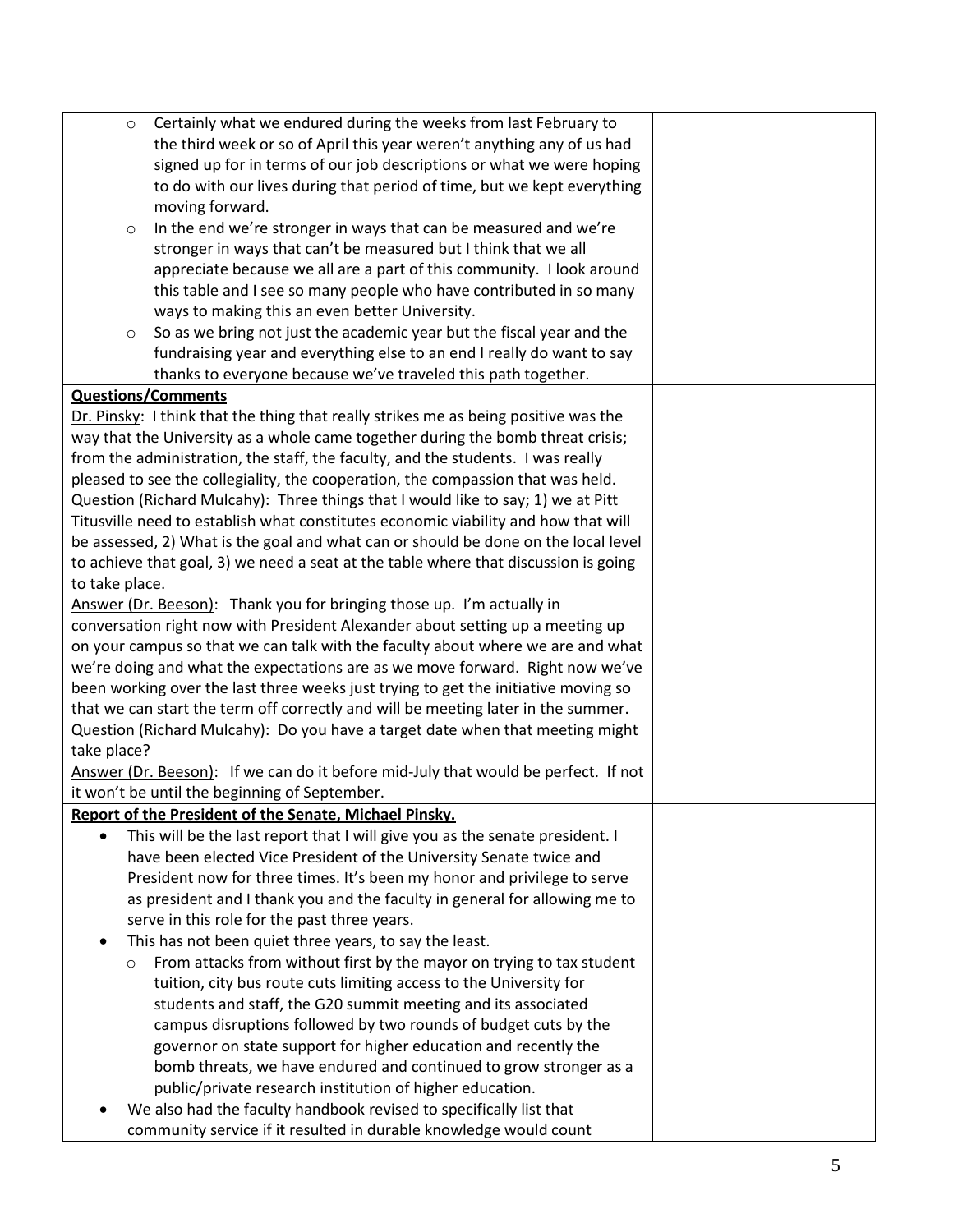| $\circ$                                                                                   | Certainly what we endured during the weeks from last February to                    |  |  |  |
|-------------------------------------------------------------------------------------------|-------------------------------------------------------------------------------------|--|--|--|
|                                                                                           | the third week or so of April this year weren't anything any of us had              |  |  |  |
|                                                                                           | signed up for in terms of our job descriptions or what we were hoping               |  |  |  |
|                                                                                           | to do with our lives during that period of time, but we kept everything             |  |  |  |
|                                                                                           | moving forward.                                                                     |  |  |  |
| $\circ$                                                                                   | In the end we're stronger in ways that can be measured and we're                    |  |  |  |
|                                                                                           | stronger in ways that can't be measured but I think that we all                     |  |  |  |
|                                                                                           | appreciate because we all are a part of this community. I look around               |  |  |  |
|                                                                                           | this table and I see so many people who have contributed in so many                 |  |  |  |
|                                                                                           | ways to making this an even better University.                                      |  |  |  |
| $\circ$                                                                                   | So as we bring not just the academic year but the fiscal year and the               |  |  |  |
|                                                                                           | fundraising year and everything else to an end I really do want to say              |  |  |  |
|                                                                                           | thanks to everyone because we've traveled this path together.                       |  |  |  |
| <b>Questions/Comments</b>                                                                 |                                                                                     |  |  |  |
|                                                                                           | Dr. Pinsky: I think that the thing that really strikes me as being positive was the |  |  |  |
|                                                                                           | way that the University as a whole came together during the bomb threat crisis;     |  |  |  |
|                                                                                           | from the administration, the staff, the faculty, and the students. I was really     |  |  |  |
|                                                                                           | pleased to see the collegiality, the cooperation, the compassion that was held.     |  |  |  |
|                                                                                           | Question (Richard Mulcahy): Three things that I would like to say; 1) we at Pitt    |  |  |  |
|                                                                                           | Titusville need to establish what constitutes economic viability and how that will  |  |  |  |
|                                                                                           | be assessed, 2) What is the goal and what can or should be done on the local level  |  |  |  |
|                                                                                           | to achieve that goal, 3) we need a seat at the table where that discussion is going |  |  |  |
| to take place.                                                                            |                                                                                     |  |  |  |
|                                                                                           | Answer (Dr. Beeson): Thank you for bringing those up. I'm actually in               |  |  |  |
|                                                                                           | conversation right now with President Alexander about setting up a meeting up       |  |  |  |
|                                                                                           | on your campus so that we can talk with the faculty about where we are and what     |  |  |  |
|                                                                                           | we're doing and what the expectations are as we move forward. Right now we've       |  |  |  |
|                                                                                           | been working over the last three weeks just trying to get the initiative moving so  |  |  |  |
|                                                                                           | that we can start the term off correctly and will be meeting later in the summer.   |  |  |  |
|                                                                                           | Question (Richard Mulcahy): Do you have a target date when that meeting might       |  |  |  |
| take place?                                                                               |                                                                                     |  |  |  |
|                                                                                           | Answer (Dr. Beeson): If we can do it before mid-July that would be perfect. If not  |  |  |  |
|                                                                                           | it won't be until the beginning of September.                                       |  |  |  |
|                                                                                           | Report of the President of the Senate, Michael Pinsky.                              |  |  |  |
| This will be the last report that I will give you as the senate president. I<br>$\bullet$ |                                                                                     |  |  |  |
| have been elected Vice President of the University Senate twice and                       |                                                                                     |  |  |  |
|                                                                                           | President now for three times. It's been my honor and privilege to serve            |  |  |  |
|                                                                                           | as president and I thank you and the faculty in general for allowing me to          |  |  |  |
|                                                                                           | serve in this role for the past three years.                                        |  |  |  |
| ٠                                                                                         | This has not been quiet three years, to say the least.                              |  |  |  |
| $\circ$                                                                                   | From attacks from without first by the mayor on trying to tax student               |  |  |  |
|                                                                                           | tuition, city bus route cuts limiting access to the University for                  |  |  |  |
|                                                                                           | students and staff, the G20 summit meeting and its associated                       |  |  |  |
|                                                                                           |                                                                                     |  |  |  |
|                                                                                           | governor on state support for higher education and recently the                     |  |  |  |
|                                                                                           | bomb threats, we have endured and continued to grow stronger as a                   |  |  |  |
|                                                                                           | public/private research institution of higher education.                            |  |  |  |
|                                                                                           | We also had the faculty handbook revised to specifically list that                  |  |  |  |
|                                                                                           | community service if it resulted in durable knowledge would count                   |  |  |  |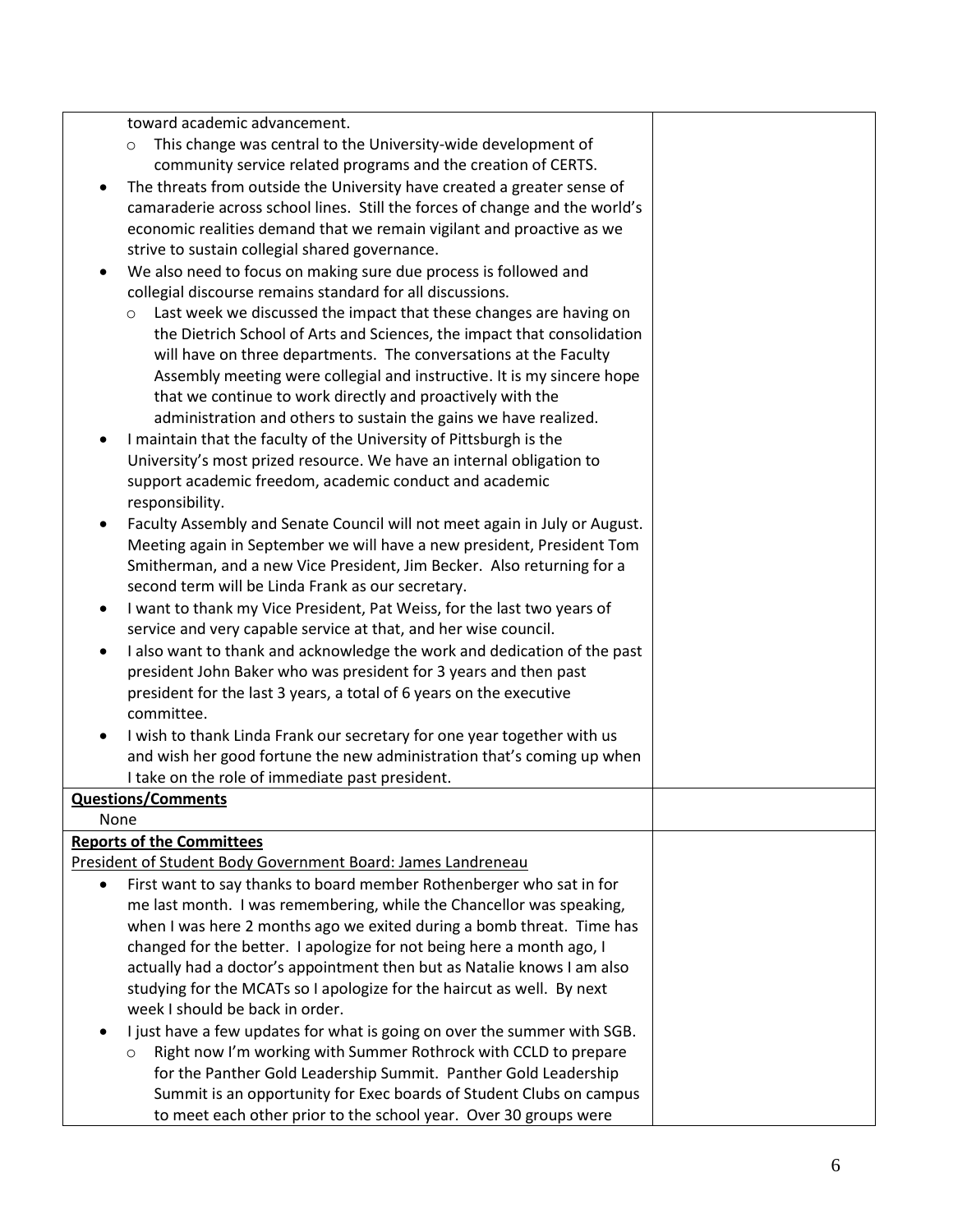toward academic advancement.

- o This change was central to the University-wide development of community service related programs and the creation of CERTS.
- The threats from outside the University have created a greater sense of camaraderie across school lines. Still the forces of change and the world's economic realities demand that we remain vigilant and proactive as we strive to sustain collegial shared governance.
- We also need to focus on making sure due process is followed and collegial discourse remains standard for all discussions.
	- o Last week we discussed the impact that these changes are having on the Dietrich School of Arts and Sciences, the impact that consolidation will have on three departments. The conversations at the Faculty Assembly meeting were collegial and instructive. It is my sincere hope that we continue to work directly and proactively with the administration and others to sustain the gains we have realized.
- I maintain that the faculty of the University of Pittsburgh is the University's most prized resource. We have an internal obligation to support academic freedom, academic conduct and academic responsibility.
- Faculty Assembly and Senate Council will not meet again in July or August. Meeting again in September we will have a new president, President Tom Smitherman, and a new Vice President, Jim Becker. Also returning for a second term will be Linda Frank as our secretary.
- I want to thank my Vice President, Pat Weiss, for the last two years of service and very capable service at that, and her wise council.
- I also want to thank and acknowledge the work and dedication of the past president John Baker who was president for 3 years and then past president for the last 3 years, a total of 6 years on the executive committee.
- I wish to thank Linda Frank our secretary for one year together with us and wish her good fortune the new administration that's coming up when I take on the role of immediate past president.

# **Questions/Comments**

None

## **Reports of the Committees**

President of Student Body Government Board: James Landreneau

- First want to say thanks to board member Rothenberger who sat in for me last month. I was remembering, while the Chancellor was speaking, when I was here 2 months ago we exited during a bomb threat. Time has changed for the better. I apologize for not being here a month ago, I actually had a doctor's appointment then but as Natalie knows I am also studying for the MCATs so I apologize for the haircut as well. By next week I should be back in order.
- I just have a few updates for what is going on over the summer with SGB.
	- o Right now I'm working with Summer Rothrock with CCLD to prepare for the Panther Gold Leadership Summit. Panther Gold Leadership Summit is an opportunity for Exec boards of Student Clubs on campus to meet each other prior to the school year. Over 30 groups were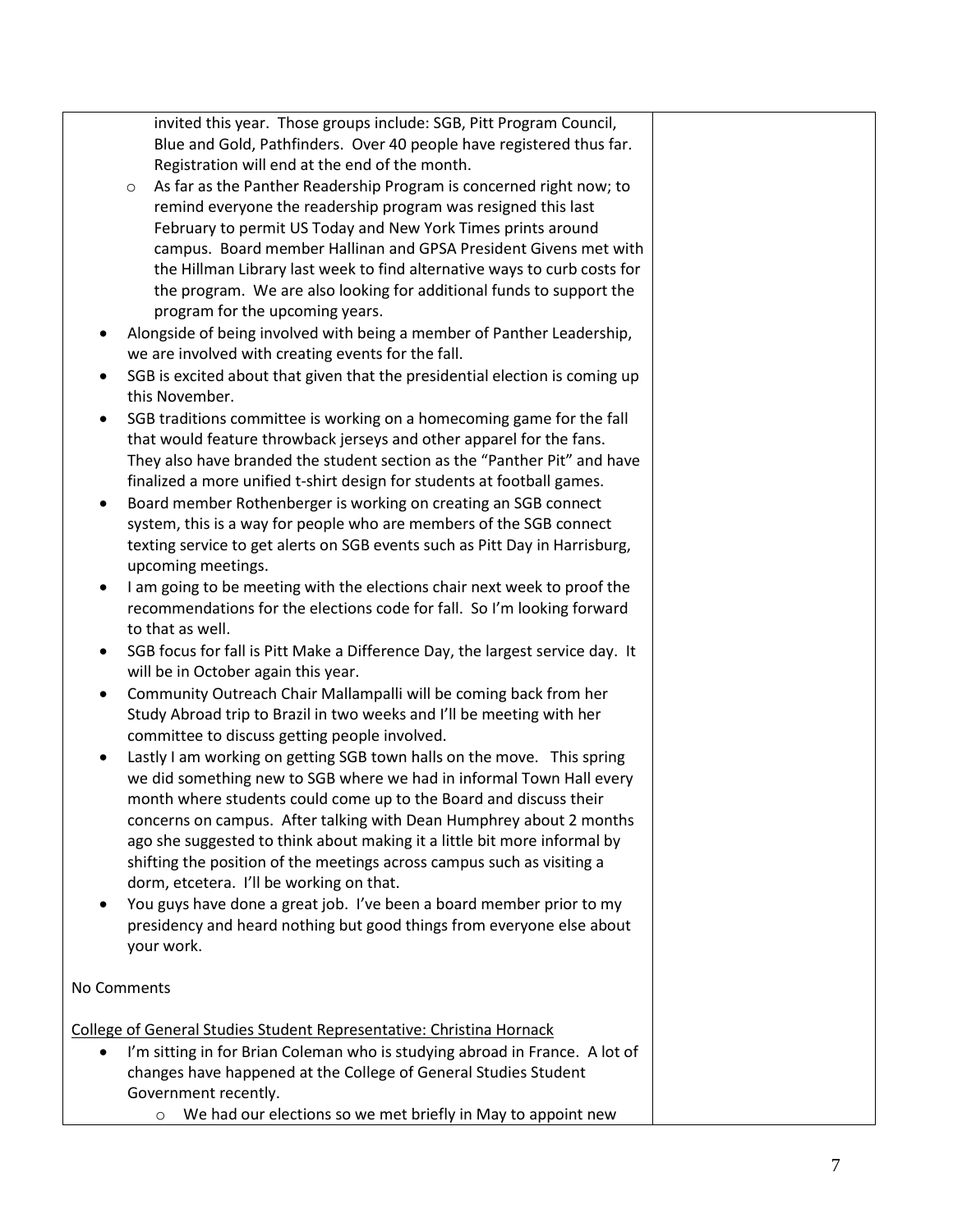invited this year. Those groups include: SGB, Pitt Program Council, Blue and Gold, Pathfinders. Over 40 people have registered thus far. Registration will end at the end of the month.

- o As far as the Panther Readership Program is concerned right now; to remind everyone the readership program was resigned this last February to permit US Today and New York Times prints around campus. Board member Hallinan and GPSA President Givens met with the Hillman Library last week to find alternative ways to curb costs for the program. We are also looking for additional funds to support the program for the upcoming years.
- Alongside of being involved with being a member of Panther Leadership, we are involved with creating events for the fall.
- SGB is excited about that given that the presidential election is coming up this November.
- SGB traditions committee is working on a homecoming game for the fall that would feature throwback jerseys and other apparel for the fans. They also have branded the student section as the "Panther Pit" and have finalized a more unified t-shirt design for students at football games.
- Board member Rothenberger is working on creating an SGB connect system, this is a way for people who are members of the SGB connect texting service to get alerts on SGB events such as Pitt Day in Harrisburg, upcoming meetings.
- I am going to be meeting with the elections chair next week to proof the recommendations for the elections code for fall. So I'm looking forward to that as well.
- SGB focus for fall is Pitt Make a Difference Day, the largest service day. It will be in October again this year.
- Community Outreach Chair Mallampalli will be coming back from her Study Abroad trip to Brazil in two weeks and I'll be meeting with her committee to discuss getting people involved.
- Lastly I am working on getting SGB town halls on the move. This spring we did something new to SGB where we had in informal Town Hall every month where students could come up to the Board and discuss their concerns on campus. After talking with Dean Humphrey about 2 months ago she suggested to think about making it a little bit more informal by shifting the position of the meetings across campus such as visiting a dorm, etcetera. I'll be working on that.
- You guys have done a great job. I've been a board member prior to my presidency and heard nothing but good things from everyone else about your work.

# No Comments

College of General Studies Student Representative: Christina Hornack

- I'm sitting in for Brian Coleman who is studying abroad in France. A lot of changes have happened at the College of General Studies Student Government recently.
	- o We had our elections so we met briefly in May to appoint new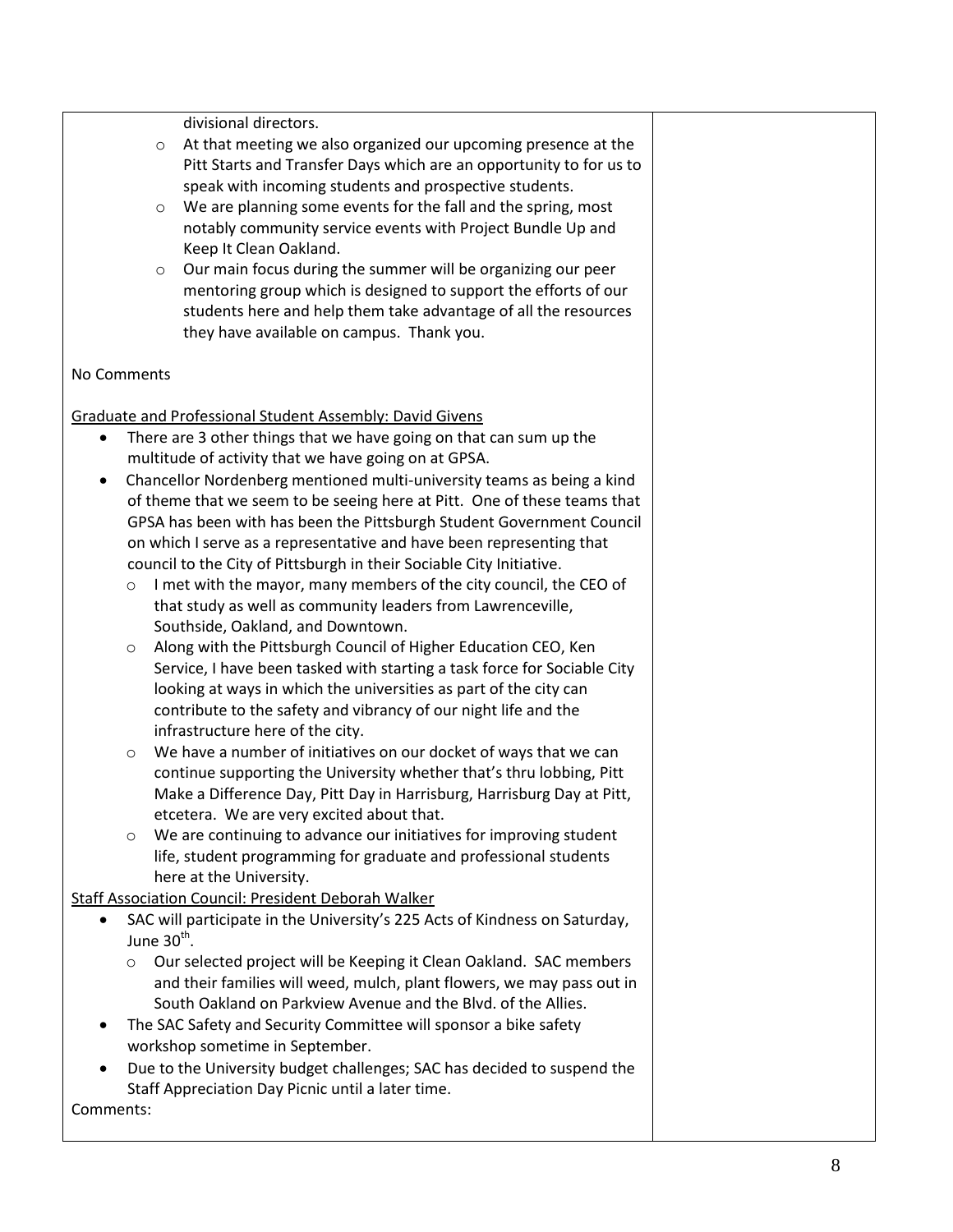divisional directors.

- o At that meeting we also organized our upcoming presence at the Pitt Starts and Transfer Days which are an opportunity to for us to speak with incoming students and prospective students.
- o We are planning some events for the fall and the spring, most notably community service events with Project Bundle Up and Keep It Clean Oakland.
- o Our main focus during the summer will be organizing our peer mentoring group which is designed to support the efforts of our students here and help them take advantage of all the resources they have available on campus. Thank you.

### No Comments

Graduate and Professional Student Assembly: David Givens

- There are 3 other things that we have going on that can sum up the multitude of activity that we have going on at GPSA.
- Chancellor Nordenberg mentioned multi-university teams as being a kind of theme that we seem to be seeing here at Pitt. One of these teams that GPSA has been with has been the Pittsburgh Student Government Council on which I serve as a representative and have been representing that council to the City of Pittsburgh in their Sociable City Initiative.
	- o I met with the mayor, many members of the city council, the CEO of that study as well as community leaders from Lawrenceville, Southside, Oakland, and Downtown.
	- o Along with the Pittsburgh Council of Higher Education CEO, Ken Service, I have been tasked with starting a task force for Sociable City looking at ways in which the universities as part of the city can contribute to the safety and vibrancy of our night life and the infrastructure here of the city.
	- o We have a number of initiatives on our docket of ways that we can continue supporting the University whether that's thru lobbing, Pitt Make a Difference Day, Pitt Day in Harrisburg, Harrisburg Day at Pitt, etcetera. We are very excited about that.
	- o We are continuing to advance our initiatives for improving student life, student programming for graduate and professional students here at the University.

Staff Association Council: President Deborah Walker

- SAC will participate in the University's 225 Acts of Kindness on Saturday, June 30<sup>th</sup>.
	- o Our selected project will be Keeping it Clean Oakland. SAC members and their families will weed, mulch, plant flowers, we may pass out in South Oakland on Parkview Avenue and the Blvd. of the Allies.
- The SAC Safety and Security Committee will sponsor a bike safety workshop sometime in September.
- Due to the University budget challenges; SAC has decided to suspend the Staff Appreciation Day Picnic until a later time.

Comments: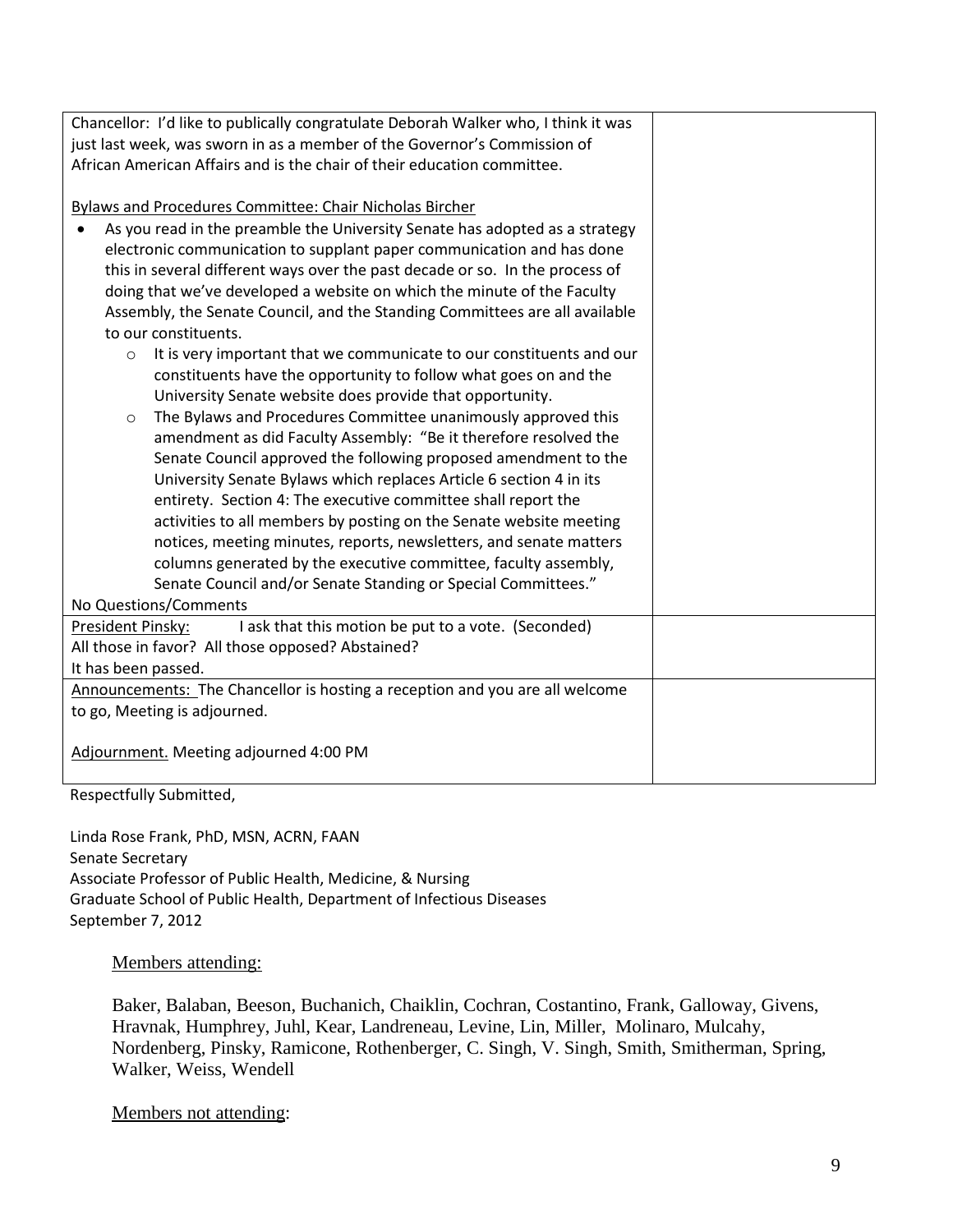| Chancellor: I'd like to publically congratulate Deborah Walker who, I think it was<br>just last week, was sworn in as a member of the Governor's Commission of |  |  |  |
|----------------------------------------------------------------------------------------------------------------------------------------------------------------|--|--|--|
| African American Affairs and is the chair of their education committee.                                                                                        |  |  |  |
| <b>Bylaws and Procedures Committee: Chair Nicholas Bircher</b>                                                                                                 |  |  |  |
| As you read in the preamble the University Senate has adopted as a strategy                                                                                    |  |  |  |
| electronic communication to supplant paper communication and has done                                                                                          |  |  |  |
| this in several different ways over the past decade or so. In the process of                                                                                   |  |  |  |
| doing that we've developed a website on which the minute of the Faculty                                                                                        |  |  |  |
| Assembly, the Senate Council, and the Standing Committees are all available                                                                                    |  |  |  |
| to our constituents.                                                                                                                                           |  |  |  |
| It is very important that we communicate to our constituents and our<br>$\circ$                                                                                |  |  |  |
| constituents have the opportunity to follow what goes on and the                                                                                               |  |  |  |
| University Senate website does provide that opportunity.                                                                                                       |  |  |  |
| The Bylaws and Procedures Committee unanimously approved this<br>$\circ$                                                                                       |  |  |  |
| amendment as did Faculty Assembly: "Be it therefore resolved the                                                                                               |  |  |  |
| Senate Council approved the following proposed amendment to the                                                                                                |  |  |  |
| University Senate Bylaws which replaces Article 6 section 4 in its                                                                                             |  |  |  |
| entirety. Section 4: The executive committee shall report the                                                                                                  |  |  |  |
| activities to all members by posting on the Senate website meeting                                                                                             |  |  |  |
| notices, meeting minutes, reports, newsletters, and senate matters                                                                                             |  |  |  |
| columns generated by the executive committee, faculty assembly,                                                                                                |  |  |  |
| Senate Council and/or Senate Standing or Special Committees."                                                                                                  |  |  |  |
| No Questions/Comments                                                                                                                                          |  |  |  |
| I ask that this motion be put to a vote. (Seconded)<br>President Pinsky:                                                                                       |  |  |  |
| All those in favor? All those opposed? Abstained?                                                                                                              |  |  |  |
| It has been passed.                                                                                                                                            |  |  |  |
| Announcements: The Chancellor is hosting a reception and you are all welcome                                                                                   |  |  |  |
| to go, Meeting is adjourned.                                                                                                                                   |  |  |  |
| Adjournment. Meeting adjourned 4:00 PM                                                                                                                         |  |  |  |
|                                                                                                                                                                |  |  |  |

Respectfully Submitted,

Linda Rose Frank, PhD, MSN, ACRN, FAAN Senate Secretary Associate Professor of Public Health, Medicine, & Nursing Graduate School of Public Health, Department of Infectious Diseases September 7, 2012

#### Members attending:

Baker, Balaban, Beeson, Buchanich, Chaiklin, Cochran, Costantino, Frank, Galloway, Givens, Hravnak, Humphrey, Juhl, Kear, Landreneau, Levine, Lin, Miller, Molinaro, Mulcahy, Nordenberg, Pinsky, Ramicone, Rothenberger, C. Singh, V. Singh, Smith, Smitherman, Spring, Walker, Weiss, Wendell

Members not attending: